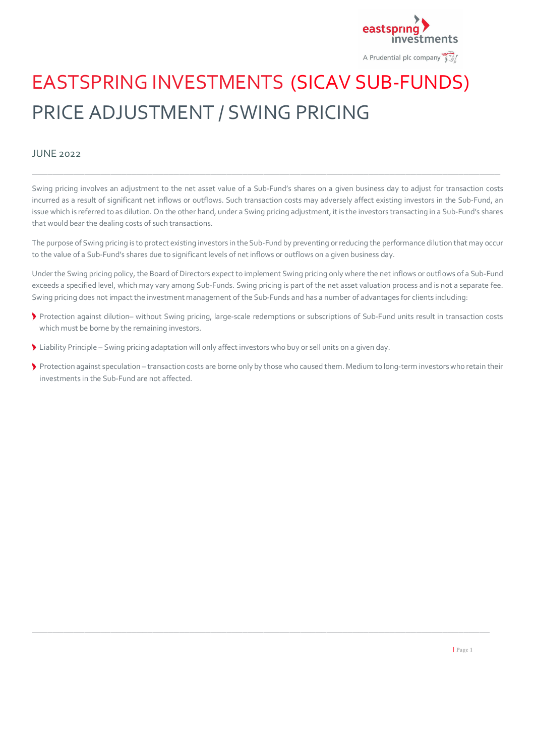

# EASTSPRING INVESTMENTS (SICAV SUB-FUNDS) PRICE ADJUSTMENT / SWING PRICING

# JUNE 2022

Swing pricing involves an adjustment to the net asset value of a Sub-Fund's shares on a given business day to adjust for transaction costs incurred as a result of significant net inflows or outflows. Such transaction costs may adversely affect existing investors in the Sub-Fund, an issue which is referred to as dilution. On the other hand, under a Swing pricing adjustment, it is the investors transacting in a Sub-Fund's shares that would bear the dealing costs of such transactions.

\_\_\_\_\_\_\_\_\_\_\_\_\_\_\_\_\_\_\_\_\_\_\_\_\_\_\_\_\_\_\_\_\_\_\_\_\_\_\_\_\_\_\_\_\_\_\_\_\_\_\_\_\_\_\_\_\_\_\_\_\_\_\_\_\_\_\_\_\_\_\_\_\_\_\_\_\_\_\_\_\_\_\_\_\_\_\_\_\_

The purpose of Swing pricing is to protect existing investors in the Sub-Fund by preventing or reducing the performance dilution that may occur to the value of a Sub-Fund's shares due to significant levels of net inflows or outflows on a given business day.

Under the Swing pricing policy, the Board of Directors expect to implement Swing pricing only where the net inflows or outflows of a Sub-Fund exceeds a specified level, which may vary among Sub-Funds. Swing pricing is part of the net asset valuation process and is not a separate fee. Swing pricing does not impact the investment management of the Sub-Funds and has a number of advantages for clients including:

- Protection against dilution– without Swing pricing, large-scale redemptions or subscriptions of Sub-Fund units result in transaction costs which must be borne by the remaining investors.
- Liability Principle Swing pricing adaptation will only affect investors who buy or sell units on a given day.
- Protection against speculation transaction costs are borne only by those who caused them. Medium to long-term investors who retain their investments in the Sub-Fund are not affected.

\_\_\_\_\_\_\_\_\_\_\_\_\_\_\_\_\_\_\_\_\_\_\_\_\_\_\_\_\_\_\_\_\_\_\_\_\_\_\_\_\_\_\_\_\_\_\_\_\_\_\_\_\_\_\_\_\_\_\_\_\_\_\_\_\_\_\_\_\_\_\_\_\_\_\_\_\_\_\_\_\_\_\_\_\_\_\_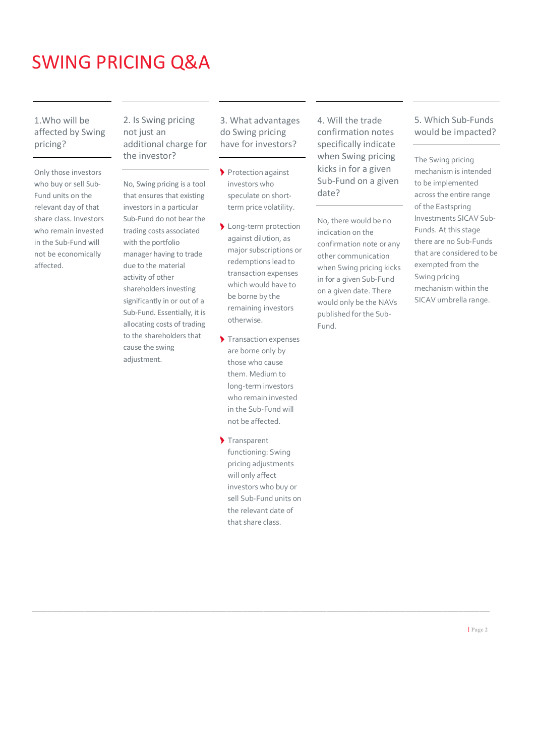# SWING PRICING Q&A

1.Who will be affected by Swing pricing?

Only those investors who buy or sell Sub-Fund units on the relevant day of that share class. Investors who remain invested in the Sub-Fund will not be economically affected.

2. Is Swing pricing not just an additional charge for the investor?

No, Swing pricing is a tool that ensures that existing investors in a particular Sub-Fund do not bear the trading costs associated with the portfolio manager having to trade due to the material activity of other shareholders investing significantly in or out of a Sub-Fund. Essentially, it is allocating costs of trading to the shareholders that cause the swing adjustment.

3. What advantages do Swing pricing have for investors?

- Protection against investors who speculate on shortterm price volatility.
- Long-term protection against dilution, as major subscriptions or redemptions lead to transaction expenses which would have to be borne by the remaining investors otherwise.
- Transaction expenses are borne only by those who cause them. Medium to long-term investors who remain invested in the Sub-Fund will not be affected.
- Transparent functioning: Swing pricing adjustments will only affect investors who buy or sell Sub-Fund units on the relevant date of that share class.

\_\_\_\_\_\_\_\_\_\_\_\_\_\_\_\_\_\_\_\_\_\_\_\_\_\_\_\_\_\_\_\_\_\_\_\_\_\_\_\_\_\_\_\_\_\_\_\_\_\_\_\_\_\_\_\_\_\_\_\_\_\_\_\_\_\_\_\_\_\_\_\_\_\_\_\_\_\_\_\_\_\_\_\_\_\_\_

4. Will the trade confirmation notes specifically indicate when Swing pricing kicks in for a given Sub-Fund on a given date?

No, there would be no indication on the confirmation note or any other communication when Swing pricing kicks in for a given Sub-Fund on a given date. There would only be the NAVs published for the Sub-Fund.

# 5. Which Sub-Funds would be impacted?

The Swing pricing mechanism is intended to be implemented across the entire range of the Eastspring Investments SICAV Sub-Funds. At this stage there are no Sub-Funds that are considered to be exempted from the Swing pricing mechanism within the SICAV umbrella range.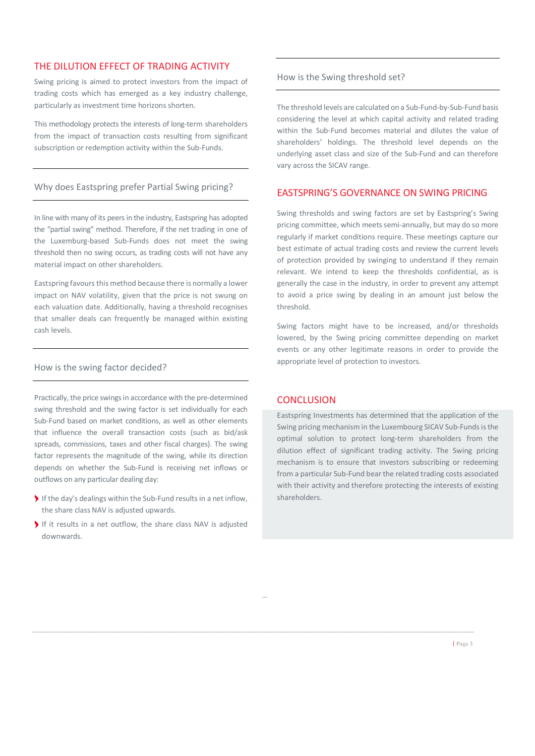## THE DILUTION EFFECT OF TRADING ACTIVITY

Swing pricing is aimed to protect investors from the impact of trading costs which has emerged as a key industry challenge, particularly as investment time horizons shorten.

This methodology protects the interests of long-term shareholders from the impact of transaction costs resulting from significant subscription or redemption activity within the Sub-Funds.

#### Why does Eastspring prefer Partial Swing pricing?

In line with many of its peers in the industry, Eastspring has adopted the "partial swing" method. Therefore, if the net trading in one of the Luxemburg-based Sub-Funds does not meet the swing threshold then no swing occurs, as trading costs will not have any material impact on other shareholders.

Eastspring favours this method because there is normally a lower impact on NAV volatility, given that the price is not swung on each valuation date. Additionally, having a threshold recognises that smaller deals can frequently be managed within existing cash levels.

#### How is the swing factor decided?

Practically, the price swings in accordance with the pre-determined swing threshold and the swing factor is set individually for each Sub-Fund based on market conditions, as well as other elements that influence the overall transaction costs (such as bid/ask spreads, commissions, taxes and other fiscal charges). The swing factor represents the magnitude of the swing, while its direction depends on whether the Sub-Fund is receiving net inflows or outflows on any particular dealing day:

- If the day's dealings within the Sub-Fund results in a net inflow, the share class NAV is adjusted upwards.
- If it results in a net outflow, the share class NAV is adjusted downwards.

#### How is the Swing threshold set?

The threshold levels are calculated on a Sub-Fund-by-Sub-Fund basis considering the level at which capital activity and related trading within the Sub-Fund becomes material and dilutes the value of shareholders' holdings. The threshold level depends on the underlying asset class and size of the Sub-Fund and can therefore vary across the SICAV range.

# EASTSPRING'S GOVERNANCE ON SWING PRICING

Swing thresholds and swing factors are set by Eastspring's Swing pricing committee, which meets semi-annually, but may do so more regularly if market conditions require. These meetings capture our best estimate of actual trading costs and review the current levels of protection provided by swinging to understand if they remain relevant. We intend to keep the thresholds confidential, as is generally the case in the industry, in order to prevent any attempt to avoid a price swing by dealing in an amount just below the threshold.

Swing factors might have to be increased, and/or thresholds lowered, by the Swing pricing committee depending on market events or any other legitimate reasons in order to provide the appropriate level of protection to investors.

## **CONCLUSION**

\_

\_\_\_\_\_\_\_\_\_\_\_\_\_\_\_\_\_\_\_\_\_\_\_\_\_\_\_\_\_\_\_\_\_\_\_\_\_\_\_\_\_\_\_\_\_\_\_\_\_\_\_\_\_\_\_\_\_\_\_\_\_\_\_\_\_\_\_\_\_\_\_\_\_\_\_\_\_\_\_\_\_\_\_\_

Eastspring Investments has determined that the application of the Swing pricing mechanism in the Luxembourg SICAV Sub-Funds isthe optimal solution to protect long-term shareholders from the dilution effect of significant trading activity. The Swing pricing mechanism is to ensure that investors subscribing or redeeming from a particular Sub-Fund bear the related trading costs associated with their activity and therefore protecting the interests of existing shareholders.